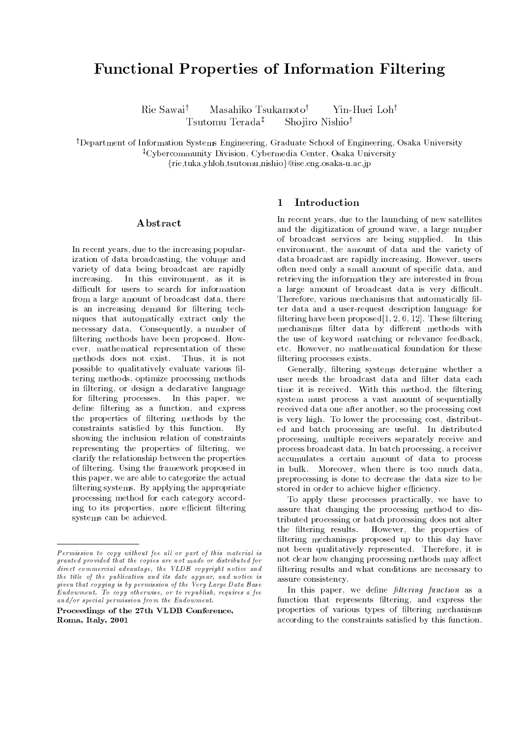# Functional Properties of Information Filtering

Rie Sawai<sup>†</sup> Masahiko Tsukamoto<sup>†</sup> Yin-Huei Loh<sup>†</sup> Tsutomu Terada<sup>‡</sup> Shojiro Nishio<sup>†</sup>

<sup>†</sup>Department of Information Systems Engineering, Graduate School of Engineering, Osaka University <sup>‡</sup>Cybercommunity Division, Cybermedia Center, Osaka University

 ${\mathfrak{f}}$ rie,tuka,yhloh,tsutomu,nishio $\mathcal{Q}$ ise.eng.osaka-u.ac.jp

#### Abstract

In recent years, due to the increasing popularization of data broadcasting, the volume and variety of data being broadcast are rapidly increasing. In this environment, as it is difficult for users to search for information from a large amount of broadcast data, there is an increasing demand for filtering techniques that automatically extract only the necessary data. Consequently, a number of filtering methods have been proposed. However, mathematical representation of these methods does not exist. Thus, it is not possible to qualitatively evaluate various filtering methods, optimize processing methods in filtering, or design a declarative language for filtering processes. In this paper, we define filtering as a function, and express the properties of ltering methods by the constraints satisfied by this function. By showing the inclusion relation of constraints representing the properties of ltering, we clarify the relationship between the properties of ltering. Using the framework proposed in this paper, we are able to categorize the actual filtering systems. By applying the appropriate processing method for each category according to its properties, more efficient filtering systems can be achieved.

# 1 Introduction

In recent years, due to the launching of new satellites and the digitization of ground wave, a large number of broadcast services are being supplied. In this environment, the amount of data and the variety of data broadcast are rapidly increasing. However, users often need only a small amount of specic data, and retrieving the information they are interested in from a large amount of broadcast data is very difficult. Therefore, various mechanisms that automatically filter data and a user-request description language for filtering have been proposed $[1, 2, 6, 12]$ . These filtering mechanisms filter data by different methods with the use of keyword matching or relevance feedback, etc. However, no mathematical foundation for these filtering processes exists.

Generally, filtering systems determine whether a user needs the broadcast data and filter data each time it is received. With this method, the filtering system must process a vast amount of sequentially received data one after another, so the processing cost is very high. To lower the processing cost, distributed and batch processing are useful. In distributed processing, multiple receivers separately receive and process broadcast data. In batch processing, a receiver accumulates a certain amount of data to process in bulk. Moreover, when there is too much data, preprocessing is done to decrease the data size to be stored in order to achieve higher efficiency.

To apply these processes practically, we have to assure that changing the processing method to distributed processing or batch processing does not alter the filtering results. However, the properties of filtering mechanisms proposed up to this day have not been qualitatively represented. Therefore, it is not clear how changing processing methods may affect filtering results and what conditions are necessary to assure consistency.

In this paper, we define  $filtering$  function as a function that represents filtering, and express the properties of various types of ltering mechanisms according to the constraints satisfied by this function.

 $Permission$  to copy without fee all or part of this material is granted provided that the copies are not made or distributed fordirect commercial advantage, the VLDB copyright notice andthe title of the publication and its date appear, and notice isgiven that copying is by permission of the Very Large Data BaseEndowment. To copy otherwise, or to republish, requires a feeand/or special permission from the Endowment.

Proceedings of the 27th VLDB Conference,Roma, Italy, 2001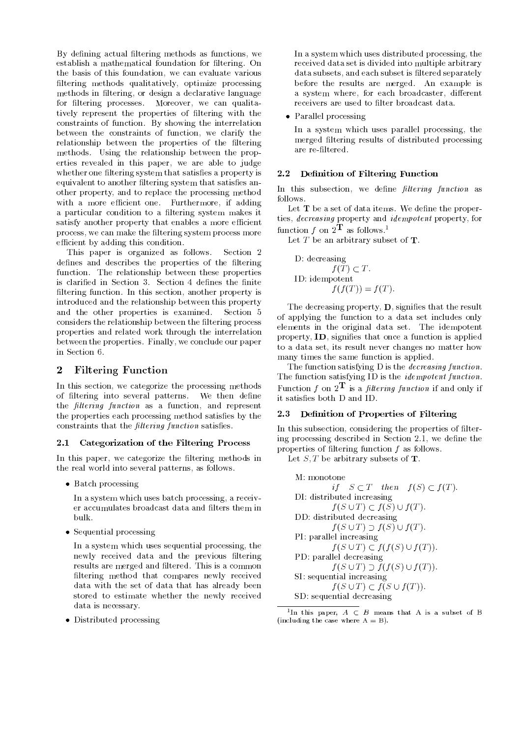By defining actual filtering methods as functions, we establish a mathematical foundation for filtering. On the basis of this foundation, we can evaluate various filtering methods qualitatively, optimize processing methods in ltering, or design a declarative language for filtering processes. Moreover, we can qualitatively represent the properties of ltering with the constraints of function. By showing the interrelation between the constraints of function, we clarify the relationship between the properties of the filtering methods. Using the relationship between the properties revealed in this paper, we are able to judge whether one filtering system that satisfies a property is equivalent to another filtering system that satisfies another property, and to replace the processing method with a more efficient one. Furthermore, if adding a particular condition to a filtering system makes it satisfy another property that enables a more efficient process, we can make the ltering system process more efficient by adding this condition.

This paper is organized as follows. Section 2 defines and describes the properties of the filtering function. The relationship between these properties is clarified in Section 3. Section 4 defines the finite filtering function. In this section, another property is introduced and the relationship between this property and the other properties is examined. Section 5 considers the relationship between the filtering process properties and related work through the interrelation between the properties. Finally, we conclude our paper in Section 6.

#### $\overline{2}$ Filtering Function

In this section, we categorize the processing methods of filtering into several patterns. We then define the *filtering function* as a function, and represent the properties each processing method satisfies by the constraints that the  $filtering\ function$  satisfies.

#### 2.1 Categorization of the Filtering Process

In this paper, we categorize the filtering methods in the real world into several patterns, as follows.

 $\bullet$  Batch processing

In a system which uses batch processing, a receiver accumulates broadcast data and filters them in bulk.

 $\bullet$  bequential processing  $\hspace{0.1em}$ 

In a system which uses sequential processing, the newly received data and the previous filtering results are merged and filtered. This is a common filtering method that compares newly received data with the set of data that has already been stored to estimate whether the newly received data is necessary.

 $\bullet$  Distributed processing  $\hspace{0.1mm}$ 

In a system which uses distributed processing, the received data set is divided into multiple arbitrary data subsets, and each subset is filtered separately before the results are merged. An example is a system where, for each broadcaster, different receivers are used to filter broadcast data.

 $\bullet\,$  <code>Parallel</code> processing  $\,$ 

In a system which uses parallel processing, the merged filtering results of distributed processing are re-ltered.

### 2.2 Definition of Filtering Function

In this subsection, we define  $filtering$  function as follows.

Let  $T$  be a set of data items. We define the properties, decreasing property and idempotent property, for function f on  $2\mathbf{\hat{T}}$  as follows.<sup>1</sup>

Let  $T$  be an arbitrary subset of  $T$ .

D: decreasing 
$$
f(T) \subset T
$$
.  
ID: idempotent  $f(f(T)) = f(T)$ .

The decreasing property,  $\mathbf D$ , signifies that the result of applying the function to a data set includes only elements in the original data set. The idempotent property, ID, signifies that once a function is applied to a data set, its result never changes no matter how many times the same function is applied.

The function satisfying D is the *decreasing function*. The function satisfying ID is the *idempotent function*. Function f on  $2^{\mathbf{T}}$  is a filtering function if and only if it satisfies both D and ID.

#### 2.3 Definition of Properties of Filtering

In this subsection, considering the properties of filtering processing described in Section 2.1, we define the properties of ltering function <sup>f</sup> as follows.

Let  $S$ , T be arbitrary subsets of **T**.

```
M: monotone
           if S \subset T then f(S) \subset f(T).
DI: distributed increasing
           f(S \cup T) \subset f(S) \cup f(T).
DD: distributed decreasing
           f(S \cup T) \supset f(S) \cup f(T).PI: parallel increasing
           f(S \cup T) \subset f(f(S) \cup f(T)).PD: parallel decreasing
           f(S \cup T) \supset f(f(S) \cup f(T))SI: sequential increasing
           f(S \cup T) \subset f(S \cup f(T)).SD: sequential decreasing
```
 $^1\text{In }$  this paper,  $A\;\subset\; B$  means that A is a subset of B (including the case where  $A = B$ ).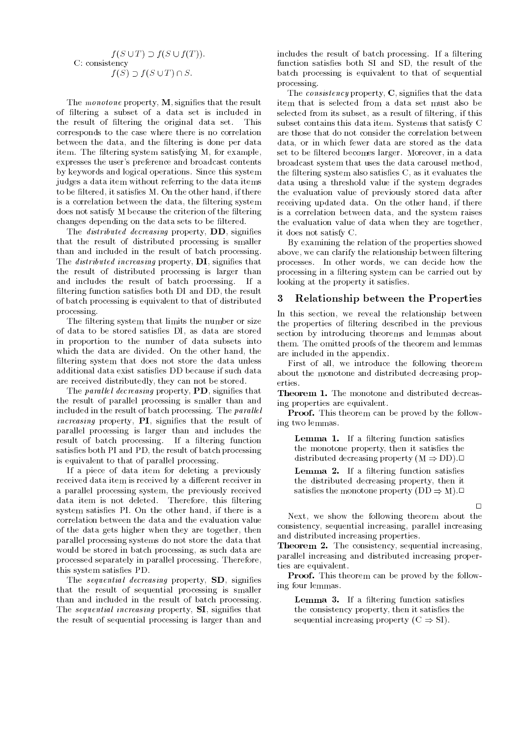#### $f(S \cup T) \supset f(S \cup f(T)).$ C: consistency  $f(S) \supset f(S \cup T) \cap S.$

The monotone property,  $M$ , signifies that the result of ltering a subset of a data set is included in the result of filtering the original data set. This corresponds to the case where there is no correlation between the data, and the filtering is done per data item. The filtering system satisfying M, for example, expresses the user's preference and broadcast contents by keywords and logical operations. Since this system judges a data item without referring to the data items to be filtered, it satisfies M. On the other hand, if there is a correlation between the data, the filtering system does not satisfy M because the criterion of the filtering changes depending on the data sets to be filtered.

The *distributed decreasing* property, DD, signifies that the result of distributed processing is smaller than and included in the result of batch processing. The *distributed increasing* property,  $DI$ , signifies that the result of distributed processing is larger than and includes the result of batch processing. If a filtering function satisfies both DI and DD, the result of batch processing is equivalent to that of distributed processing.

The filtering system that limits the number or size of data to be stored satisfies DI, as data are stored in proportion to the number of data subsets into which the data are divided. On the other hand, the filtering system that does not store the data unless additional data exist satisfies DD because if such data are received distributedly, they can not be stored.

The *parallel decreasing* property,  $\mathbf{PD}$ , signifies that the result of parallel processing is smaller than and included in the result of batch processing. The parallel increasing property, PI, signies that the result of parallel processing is larger than and includes the result of batch processing. If a filtering function satisfies both PI and PD, the result of batch processing is equivalent to that of parallel processing.

If a piece of data item for deleting a previously received data item is received by a different receiver in a parallel processing system, the previously received data item is not deleted. Therefore, this filtering system satisfies PI. On the other hand, if there is a correlation between the data and the evaluation value of the data gets higher when they are together, then parallel processing systems do not store the data that would be stored in batch processing, as such data are processed separately in parallel processing. Therefore, this system satisfies PD.

The *sequential decreasing* property, **SD**, signifies that the result of sequential processing is smaller than and included in the result of batch processing. The *sequential increasing* property, SI, signifies that the result of sequential processing is larger than and

includes the result of batch processing. If a filtering function satisfies both SI and SD, the result of the batch processing is equivalent to that of sequential processing.

The *consistency* property,  $C$ , signifies that the data item that is selected from a data set must also be selected from its subset, as a result of filtering, if this subset contains this data item. Systems that satisfy C are those that do not consider the correlation between data, or in which fewer data are stored as the data set to be filtered becomes larger. Moreover, in a data broadcast system that uses the data carousel method, the filtering system also satisfies  $C$ , as it evaluates the data using a threshold value if the system degrades the evaluation value of previously stored data after receiving updated data. On the other hand, if there is a correlation between data, and the system raises the evaluation value of data when they are together, it does not satisfy C.

By examining the relation of the properties showed above, we can clarify the relationship between filtering processes. In other words, we can decide how the processing in a filtering system can be carried out by looking at the property it satisfies.

### 3 Relationship between the Properties

In this section, we reveal the relationship between the properties of ltering described in the previous section by introducing theorems and lemmas about them. The omitted proofs of the theorem and lemmas are included in the appendix.

First of all, we introduce the following theorem about the monotone and distributed decreasing properties

Theorem 1. The monotone and distributed decreasing properties are equivalent.

Proof. This theorem can be proved by the following two lemmas.

Lemma 1. If a filtering function satisfies the monotone property, then it satisfies the distributed decreasing property  $(M \Rightarrow DD)$ . Lemma 2. If a filtering function satisfies the distributed decreasing property, then it satisfies the monotone property  $(DD \Rightarrow M)$ .

Next, we show the following theorem about the consistency, sequential increasing, parallel increasing and distributed increasing properties.

Theorem 2. The consistency, sequential increasing, parallel increasing and distributed increasing properties are equivalent.

**Proof.** This theorem can be proved by the following four lemmas.

Lemma 3. If a filtering function satisfies the consistency property, then it satisfies the sequential increasing property  $(C \Rightarrow SI)$ .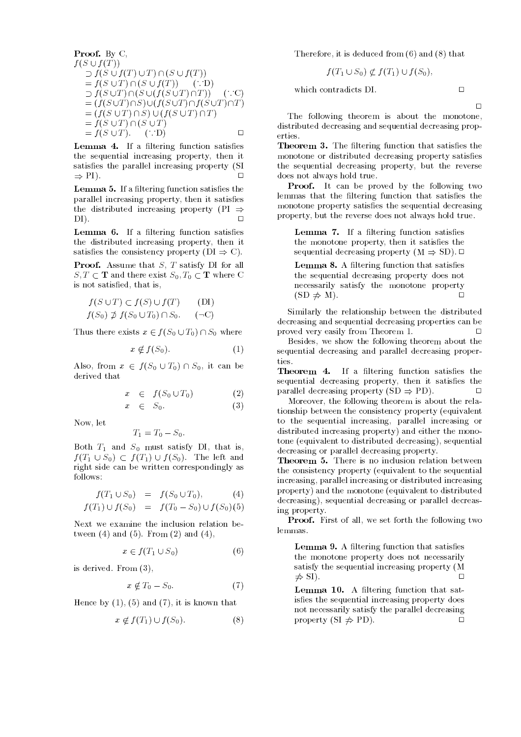Proof. By C,  
\n
$$
f(S \cup f(T))
$$
\n
$$
\supset f(S \cup f(T) \cup T) \cap (S \cup f(T))
$$
\n
$$
= f(S \cup T) \cap (S \cup f(T)) \quad (\because D)
$$
\n
$$
\supset f(S \cup T) \cap (S \cup (f(S \cup T) \cap T)) \quad (\because C)
$$
\n
$$
= (f(S \cup T) \cap S) \cup (f(S \cup T) \cap f(S \cup T) \cap T)
$$
\n
$$
= f(S \cup T) \cap (S \cup T)
$$
\n
$$
= f(S \cup T). \quad (\because D)
$$

Lemma 4. If a filtering function satisfies the sequential increasing property, then it satisfies the parallel increasing property (SI  $\Rightarrow$  PI).

**Lemma 5.** If a filtering function satisfies the parallel increasing property, then it satisfies the distributed increasing property (PI  $\Rightarrow$  $\Box$ DI). <sup>2</sup>

Lemma 6. If a filtering function satisfies the distributed increasing property, then it satisfies the consistency property  $(DI \Rightarrow C)$ .

Proof. Assume that S, T satisfy DI for all  $S, T \subset \mathbf{T}$  and there exist  $S_0, T_0 \subset \mathbf{T}$  where C is not satised, that is,

$$
f(S \cup T) \subset f(S) \cup f(T) \qquad (DI)
$$
  

$$
f(S_0) \not\supset f(S_0 \cup T_0) \cap S_0. \qquad (\neg C)
$$

Thus there exists  $x \in f(S_0 \cup T_0) \cap S_0$  where

$$
x \notin f(S_0). \tag{1}
$$

Also, from  $x \in f(S_0 \cup T_0) \cap S_0$ , it can be derived that

$$
x \in f(S_0 \cup T_0) \tag{2}
$$

$$
x \in S_0. \tag{3}
$$

Now, let

$$
T_1=T_0-S_0.
$$

Both  $T_1$  and  $S_0$  must satisfy DI, that is,  $f(T_1 \cup S_0) \subset f(T_1) \cup f(S_0)$ . The left and right side can be written correspondingly as follows:

$$
f(T_1 \cup S_0) = f(S_0 \cup T_0), \tag{4}
$$

$$
f(T_1) \cup f(S_0) = f(T_0 - S_0) \cup f(S_0)(5)
$$

Next we examine the inclusion relation between  $(4)$  and  $(5)$ . From  $(2)$  and  $(4)$ ,

$$
x \in f(T_1 \cup S_0) \tag{6}
$$

is derived. From (3),

$$
x \notin T_0 - S_0. \tag{7}
$$

Hence by  $(1)$ ,  $(5)$  and  $(7)$ , it is known that

$$
x \notin f(T_1) \cup f(S_0). \tag{8}
$$

Therefore, it is deduced from (6) and (8) that

$$
f(T_1 \cup S_0) \not\subset f(T_1) \cup f(S_0),
$$

which contradicts DI.

 $\Box$ 

 $\Box$ 

The following theorem is about the monotone, distributed decreasing and sequential decreasing properties.

**Theorem 3.** The filtering function that satisfies the monotone or distributed decreasing property satisfies the sequential decreasing property, but the reverse does not always hold true.

Proof. It can be proved by the following two lemmas that the filtering function that satisfies the monotone property satisfies the sequential decreasing property, but the reverse does not always hold true.

**Lemma 7.** If a filtering function satisfies the monotone property, then it satisfies the sequential decreasing property  $(M \Rightarrow SD)$ .

Lemma 8. A filtering function that satisfies the sequential decreasing property does not necessarily satisfy the monotone property  $(SD \neq M)$ .

Similarly the relationship between the distributed decreasing and sequential decreasing properties can be proved very easily from Theorem 1. <sup>2</sup>  $\Box$ 

Besides, we show the following theorem about the sequential decreasing and parallel decreasing proper-

**Theorem 4.** If a filtering function satisfies the sequential decreasing property, then it satisfies the parallel decreasing property  $(SD \Rightarrow PD)$ .

Moreover, the following theorem is about the relationship between the consistency property (equivalent to the sequential increasing, parallel increasing or distributed increasing property) and either the monotone (equivalent to distributed decreasing), sequential decreasing or parallel decreasing property.

Theorem 5. There is no inclusion relation between the consistency property (equivalent to the sequential increasing, parallel increasing or distributed increasing property) and the monotone (equivalent to distributed decreasing), sequential decreasing or parallel decreasing property.

Proof. First of all, we set forth the following two lemmas.

Lemma 9. A filtering function that satisfies the monotone property does not necessarily satisfy the sequential increasing property (M  $\Rightarrow$  SI).

Lemma 10. A filtering function that satisfies the sequential increasing property does not necessarily satisfy the parallel decreasing property  $(SI \neq PD)$ .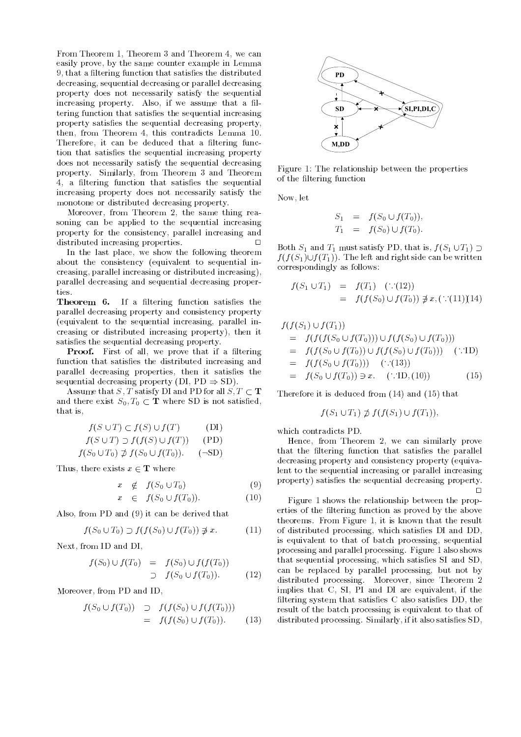From Theorem 1, Theorem 3 and Theorem 4, we can easily prove, by the same counter example in Lemma 9, that a filtering function that satisfies the distributed decreasing, sequential decreasing or parallel decreasing property does not necessarily satisfy the sequential increasing property. Also, if we assume that a filtering function that satisfies the sequential increasing property satisfies the sequential decreasing property, then, from Theorem 4, this contradicts Lemma 10. Therefore, it can be deduced that a filtering function that satisfies the sequential increasing property does not necessarily satisfy the sequential decreasing property. Similarly, from Theorem 3 and Theorem 4, a filtering function that satisfies the sequential increasing property does not necessarily satisfy the monotone or distributed decreasing property.

Moreover, from Theorem 2, the same thing reasoning can be applied to the sequential increasing property for the consistency, parallel increasing and distributed increasing properties.  $\Box$ 

In the last place, we show the following theorem about the consistency (equivalent to sequential increasing, parallel increasing or distributed increasing), parallel decreasing and sequential decreasing properties.

**Theorem 6.** If a filtering function satisfies the parallel decreasing property and consistency property (equivalent to the sequential increasing, parallel increasing or distributed increasing property), then it satisfies the sequential decreasing property.

**Proof.** First of all, we prove that if a filtering function that satisfies the distributed increasing and parallel decreasing properties, then it satisfies the sequential decreasing property (DI,  $PD \Rightarrow SD$ ).

Assume that S, T satisfy DI and PD for all  $S, T \subset T$ and there exist  $S_0, T_0 \subset \mathbf{T}$  where SD is not satisfied, that is,

$$
f(S \cup T) \subset f(S) \cup f(T) \qquad \text{(DI)}
$$
  

$$
f(S \cup T) \supset f(f(S) \cup f(T)) \qquad \text{(PD)}
$$
  

$$
f(S_0 \cup T_0) \not\supset f(S_0 \cup f(T_0)). \qquad \text{(-SD)}
$$

Thus, there exists  $x \in \mathbf{T}$  where

$$
x \notin f(S_0 \cup T_0) \tag{9}
$$

$$
x \in f(S_0 \cup f(T_0)). \tag{10}
$$

Also, from PD and (9) it can be derived that

$$
f(S_0 \cup T_0) \supset f(f(S_0) \cup f(T_0)) \not\ni x. \tag{11}
$$

Next, from ID and DI,

$$
f(S_0) \cup f(T_0) = f(S_0) \cup f(f(T_0))
$$
  
\n
$$
\supset f(S_0 \cup f(T_0)). \tag{12}
$$

Moreover, from PD and ID,

$$
f(S_0 \cup f(T_0)) \supset f(f(S_0) \cup f(f(T_0)))
$$
  
=  $f(f(S_0) \cup f(T_0)).$  (13)



Figure 1: The relationship between the properties of the ltering function

Now, let

$$
S_1 = f(S_0 \cup f(T_0)), T_1 = f(S_0) \cup f(T_0).
$$

Both  $S_1$  and  $T_1$  must satisfy PD, that is,  $f(S_1 \cup T_1) \supset$  $f(f(S_1)\cup f(T_1))$ . The left and right side can be written correspondingly as follows:

$$
f(S_1 \cup T_1) = f(T_1) \quad (\because (12))
$$
  
=  $f(f(S_0) \cup f(T_0)) \not\ni x, (\because (11))(14)$ 

$$
f(f(S_1) \cup f(T_1))
$$
  
=  $f(f(f(S_0 \cup f(T_0))) \cup f(f(S_0) \cup f(T_0)))$   
=  $f(f(S_0 \cup f(T_0)) \cup f(f(S_0) \cup f(T_0)))$  (...ID)  
=  $f(f(S_0 \cup f(T_0)))$  (...(13))  
=  $f(S_0 \cup f(T_0)) \ni x$ . (...ID, (10)) (15)

Therefore it is deduced from (14) and (15) that

$$
f(S_1 \cup T_1) \not\supset f(f(S_1) \cup f(T_1)),
$$

which contradicts PD.

Hence, from Theorem 2, we can similarly prove that the filtering function that satisfies the parallel decreasing property and consistency property (equivalent to the sequential increasing or parallel increasing property) satisfies the sequential decreasing property.  $\Box$ 

Figure 1 shows the relationship between the properties of the filtering function as proved by the above theorems. From Figure 1, it is known that the result of distributed processing, which satisfies DI and DD, is equivalent to that of batch processing, sequential processing and parallel processing. Figure 1 also shows that sequential processing, which satisfies SI and SD, can be replaced by parallel processing, but not by distributed processing. Moreover, since Theorem 2 implies that C, SI, PI and DI are equivalent, if the filtering system that satisfies  $C$  also satisfies DD, the result of the batch processing is equivalent to that of distributed processing. Similarly, if it also satisfies SD,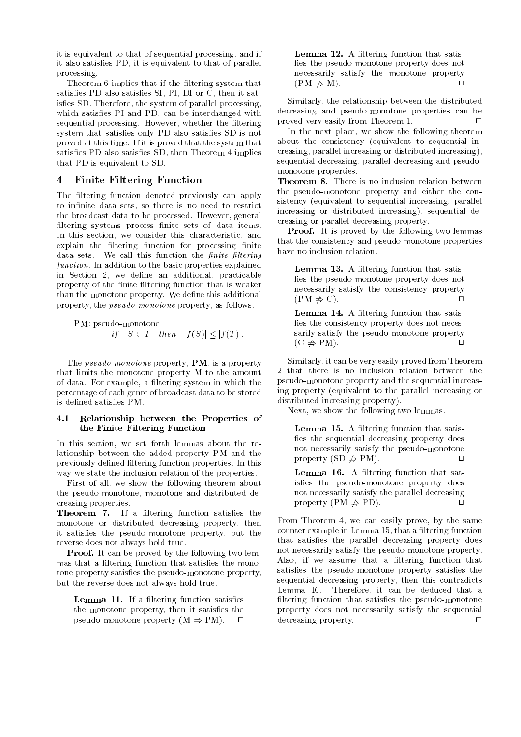it is equivalent to that of sequential processing, and if it also satisfies PD, it is equivalent to that of parallel processing.

Theorem 6 implies that if the filtering system that satisfies PD also satisfies SI, PI, DI or C, then it satisfies SD. Therefore, the system of parallel processing, which satisfies PI and PD, can be interchanged with sequential processing. However, whether the filtering system that satisfies only PD also satisfies SD is not proved at this time. If it is proved that the system that satisfies PD also satisfies SD, then Theorem 4 implies that PD is equivalent to SD.

### 4 Finite Filtering Function

The filtering function denoted previously can apply to infinite data sets, so there is no need to restrict the broadcast data to be processed. However, general filtering systems process finite sets of data items. In this section, we consider this characteristic, and explain the filtering function for processing finite data sets. We call this function the  $finite$  filtering function. In addition to the basic properties explained in Section 2, we define an additional, practicable property of the finite filtering function that is weaker than the monotone property. We define this additional property, the pseudo-monotone property, as follows.

PM: pseudo-monotone  
*if* 
$$
S \subset T
$$
 *then*  $|f(S)| \leq |f(T)|$ .

The *pseudo-monotone* property, **PM**, is a property that limits the monotone property M to the amount of data. For example, a filtering system in which the percentage of each genre of broadcast data to be stored is defined satisfies PM.

#### $4.1$ Relationship between the Properties of the Finite Filtering Function

In this section, we set forth lemmas about the relationship between the added property PM and the previously defined filtering function properties. In this way we state the inclusion relation of the properties.

First of all, we show the following theorem about the pseudo-monotone, monotone and distributed decreasing properties.

**Theorem 7.** If a filtering function satisfies the monotone or distributed decreasing property, then it satisfies the pseudo-monotone property, but the reverse does not always hold true.

**Proof.** It can be proved by the following two lemmas that a filtering function that satisfies the monotone property satisfies the pseudo-monotone property, but the reverse does not always hold true.

Lemma 11. If a filtering function satisfies the monotone property, then it satisfies the pseudo-monotone property  $(M \Rightarrow PM)$ .  $\Box$ 

Lemma 12. A filtering function that satisfies the pseudo-monotone property does not necessarily satisfy the monotone property  $(PM \neq M)$ .

Similarly, the relationship between the distributed decreasing and pseudo-monotone properties can be proved very easily from Theorem 1. <sup>2</sup>  $\Box$ 

In the next place, we show the following theorem about the consistency (equivalent to sequential increasing, parallel increasing or distributed increasing), sequential decreasing, parallel decreasing and pseudomonotone properties.

Theorem 8. There is no inclusion relation between the pseudo-monotone property and either the consistency (equivalent to sequential increasing, parallel increasing or distributed increasing), sequential decreasing or parallel decreasing property.

**Proof.** It is proved by the following two lemmas that the consistency and pseudo-monotone properties have no inclusion relation.

Lemma 13. A filtering function that satisfies the pseudo-monotone property does not necessarily satisfy the consistency property  $(PM \neq C)$ .

Lemma 14. A filtering function that satisfies the consistency property does not necessarily satisfy the pseudo-monotone property  $(C \neq PM).$ 

Similarly, it can be very easily proved from Theorem 2 that there is no inclusion relation between the pseudo-monotone property and the sequential increasing property (equivalent to the parallel increasing or distributed increasing property).

Next, we show the following two lemmas.

Lemma 15. A filtering function that satisfies the sequential decreasing property does not necessarily satisfy the pseudo-monotone property  $(SD \neq PM)$ .

Lemma 16. A filtering function that satisfies the pseudo-monotone property does not necessarily satisfy the parallel decreasing property  $(PM \neq PD)$ .

From Theorem 4, we can easily prove, by the same counter example in Lemma 15, that a filtering function that satisfies the parallel decreasing property does not necessarily satisfy the pseudo-monotone property. Also, if we assume that a filtering function that satisfies the pseudo-monotone property satisfies the sequential decreasing property, then this contradicts Lemma 16. Therefore, it can be deduced that a filtering function that satisfies the pseudo-monotone property does not necessarily satisfy the sequential decreasing property.  $\sqrt{ }$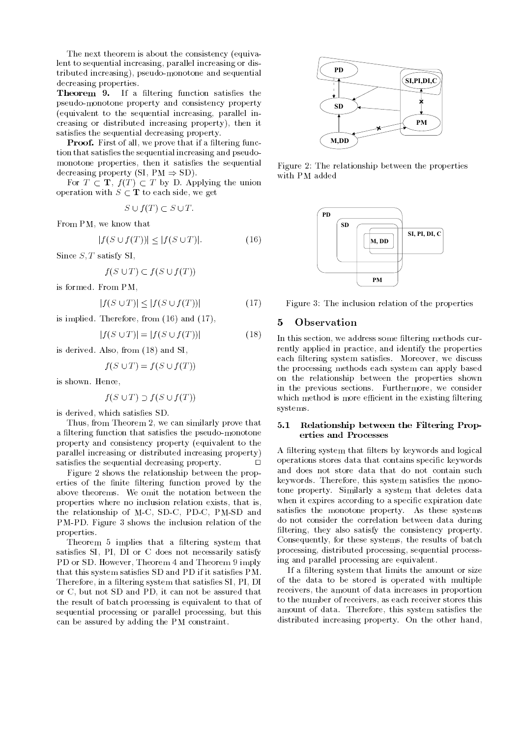The next theorem is about the consistency (equivalent to sequential increasing, parallel increasing or distributed increasing), pseudo-monotone and sequential decreasing properties.

**Theorem 9.** If a filtering function satisfies the pseudo-monotone property and consistency property (equivalent to the sequential increasing, parallel increasing or distributed increasing property), then it satisfies the sequential decreasing property.

**Proof.** First of all, we prove that if a filtering function that satisfies the sequential increasing and pseudomonotone properties, then it satisfies the sequential decreasing property (SI,  $PM \Rightarrow SD$ ).

For  $T \subset \mathbf{T}$ ,  $f(T) \subset T$  by D. Applying the union operation with  $S \subset \mathbf{T}$  to each side, we get

$$
S \cup f(T) \subset S \cup T.
$$

From PM, we know that

$$
|f(S \cup f(T))| \le |f(S \cup T)|. \tag{16}
$$

Since  $S$ , T satisfy SI,

$$
f(S \cup T) \subset f(S \cup f(T))
$$

is formed. From PM,

$$
|f(S \cup T)| \le |f(S \cup f(T))| \tag{17}
$$

is implied. Therefore, from (16) and (17),

$$
|f(S \cup T)| = |f(S \cup f(T))| \tag{18}
$$

is derived. Also, from (18) and SI,

$$
f(S \cup T) = f(S \cup f(T))
$$

is shown. Hence,

$$
f(S \cup T) \supset f(S \cup f(T))
$$

is derived, which satisfies SD.

Thus, from Theorem 2, we can similarly prove that a filtering function that satisfies the pseudo-monotone property and consistency property (equivalent to the parallel increasing or distributed increasing property) satisfies the sequential decreasing property.

Figure 2 shows the relationship between the properties of the finite filtering function proved by the above theorems. We omit the notation between the properties where no inclusion relation exists, that is, the relationship of M-C, SD-C, PD-C, PM-SD and PM-PD. Figure 3 shows the inclusion relation of the properties.

Theorem 5 implies that a filtering system that satisfies SI, PI, DI or C does not necessarily satisfy PD or SD. However, Theorem 4 and Theorem 9 imply that this system satisfies SD and PD if it satisfies PM. Therefore, in a filtering system that satisfies SI, PI, DI or C, but not SD and PD, it can not be assured that the result of batch processing is equivalent to that of sequential processing or parallel processing, but this can be assured by adding the PM constraint.



Figure 2: The relationship between the properties with PM added



Figure 3: The inclusion relation of the properties

#### 5

In this section, we address some filtering methods currently applied in practice, and identify the properties each filtering system satisfies. Moreover, we discuss the processing methods each system can apply based on the relationship between the properties shown in the previous sections. Furthermore, we consider which method is more efficient in the existing filtering systems.

#### 5.1 Relationship between the Filtering Properties and Processes

A filtering system that filters by keywords and logical operations stores data that contains specic keywords and does not store data that do not contain such keywords. Therefore, this system satisfies the monotone property. Similarly a system that deletes data when it expires according to a specific expiration date satisfies the monotone property. As these systems do not consider the correlation between data during filtering, they also satisfy the consistency property. Consequently, for these systems, the results of batch processing, distributed processing, sequential processing and parallel processing are equivalent.

If a filtering system that limits the amount or size of the data to be stored is operated with multiple receivers, the amount of data increases in proportion to the number of receivers, as each receiver stores this amount of data. Therefore, this system satisfies the distributed increasing property. On the other hand,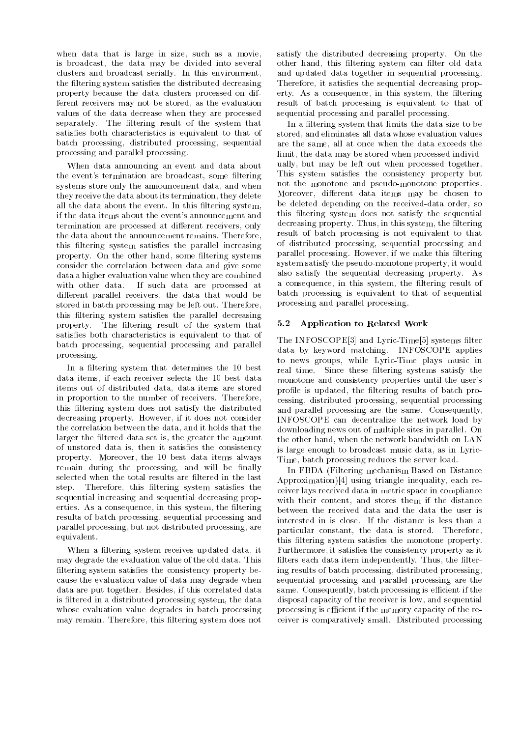when data that is large in size, such as a movie, is broadcast, the data may be divided into several clusters and broadcast serially. In this environment, the filtering system satisfies the distributed decreasing property because the data clusters processed on different receivers may not be stored, as the evaluation values of the data decrease when they are processed separately. The filtering result of the system that satisfies both characteristics is equivalent to that of batch processing, distributed processing, sequential processing and parallel processing.

When data announcing an event and data about the event's termination are broadcast, some filtering systems store only the announcement data, and when they receive the data about its termination, they delete all the data about the event. In this filtering system, if the data items about the event's announcement and termination are processed at different receivers, only the data about the announcement remains. Therefore, this filtering system satisfies the parallel increasing property. On the other hand, some filtering systems consider the correlation between data and give some data a higher evaluation value when they are combined with other data. If such data are processed at different parallel receivers, the data that would be stored in batch processing may be left out. Therefore, this filtering system satisfies the parallel decreasing property. The filtering result of the system that satisfies both characteristics is equivalent to that of batch processing, sequential processing and parallel processing.

In a filtering system that determines the 10 best data items, if each receiver selects the 10 best data items out of distributed data, data items are stored in proportion to the number of receivers. Therefore, this filtering system does not satisfy the distributed decreasing property. However, if it does not consider the correlation between the data, and it holds that the larger the filtered data set is, the greater the amount of unstored data is, then it satisfies the consistency property. Moreover, the 10 best data items always remain during the processing, and will be finally selected when the total results are filtered in the last step. Therefore, this filtering system satisfies the sequential increasing and sequential decreasing properties. As a consequence, in this system, the filtering results of batch processing, sequential processing and parallel processing, but not distributed processing, are equivalent.

When a filtering system receives updated data, it may degrade the evaluation value of the old data. This filtering system satisfies the consistency property because the evaluation value of data may degrade when data are put together. Besides, if this correlated data is filtered in a distributed processing system, the data whose evaluation value degrades in batch processing may remain. Therefore, this filtering system does not

satisfy the distributed decreasing property. On the other hand, this filtering system can filter old data and updated data together in sequential processing. Therefore, it satisfies the sequential decreasing property. As a consequence, in this system, the filtering result of batch processing is equivalent to that of sequential processing and parallel processing.

In a filtering system that limits the data size to be stored, and eliminates all data whose evaluation values are the same, all at once when the data exceeds the limit, the data may be stored when processed individually, but may be left out when processed together. This system satisfies the consistency property but not the monotone and pseudo-monotone properties. Moreover, different data items may be chosen to be deleted depending on the received-data order, so this filtering system does not satisfy the sequential decreasing property. Thus, in this system, the filtering result of batch processing is not equivalent to that of distributed processing, sequential processing and parallel processing. However, if we make this filtering system satisfy the pseudo-monotone property, it would also satisfy the sequential decreasing property. As a consequence, in this system, the filtering result of batch processing is equivalent to that of sequential processing and parallel processing.

#### 5.2 Application to Related Work

The INFOSCOPE<sup>[3]</sup> and Lyric-Time<sup>[5]</sup> systems filter data by keyword matching. INFOSCOPE applies to news groups, while Lyric-Time plays music in real time. Since these filtering systems satisfy the monotone and consistency properties until the user's profile is updated, the filtering results of batch processing, distributed processing, sequential processing and parallel processing are the same. Consequently, INFOSCOPE can decentralize the network load by downloading news out of multiple sites in parallel. On the other hand, when the network bandwidth on LAN is large enough to broadcast music data, as in Lyric-Time, batch processing reduces the server load.

In FBDA (Filtering mechanism Based on Distance Approximation)[4] using triangle inequality, each receiver lays received data in metric space in compliance with their content, and stores them if the distance between the received data and the data the user is interested in is close. If the distance is less than a particular constant, the data is stored. Therefore, this filtering system satisfies the monotone property. Furthermore, it satisfies the consistency property as it filters each data item independently. Thus, the filtering results of batch processing, distributed processing, sequential processing and parallel processing are the same. Consequently, batch processing is efficient if the disposal capacity of the receiver is low, and sequential processing is efficient if the memory capacity of the receiver is comparatively small. Distributed processing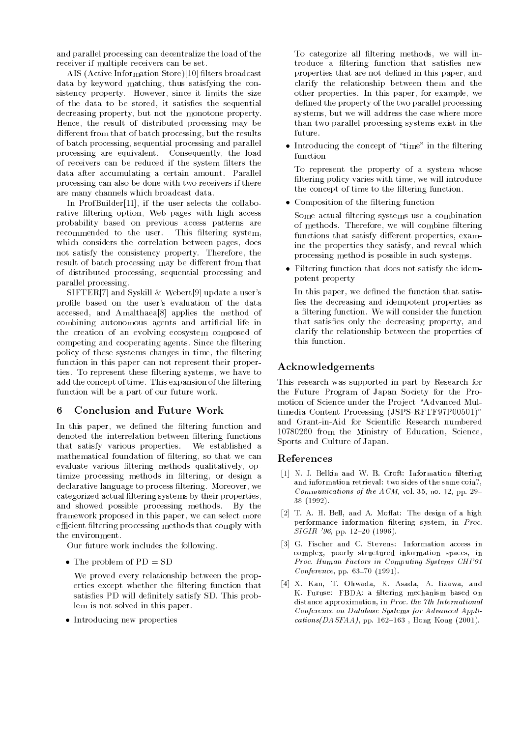and parallel processing can decentralize the load of the receiver if multiple receivers can be set.

AIS (Active Information Store)[10] filters broadcast data by keyword matching, thus satisfying the consistency property. However, since it limits the size of the data to be stored, it satisfies the sequential decreasing property, but not the monotone property. Hence, the result of distributed processing may be different from that of batch processing, but the results of batch processing, sequential processing and parallel processing are equivalent. Consequently, the load of receivers can be reduced if the system filters the data after accumulating a certain amount. Parallel processing can also be done with two receivers if there are many channels which broadcast data.

In ProfBuilder[11], if the user selects the collaborative filtering option, Web pages with high access probability based on previous access patterns are recommended to the user. This filtering system, which considers the correlation between pages, does not satisfy the consistency property. Therefore, the result of batch processing may be different from that of distributed processing, sequential processing and parallel processing.

SIFTER[7] and Syskill & Webert[9] update a user's profile based on the user's evaluation of the data accessed, and Amalthaea[8] applies the method of combining autonomous agents and articial life in the creation of an evolving ecosystem composed of competing and cooperating agents. Since the filtering policy of these systems changes in time, the filtering function in this paper can not represent their properties. To represent these filtering systems, we have to add the concept of time. This expansion of the filtering function will be a part of our future work.

#### 6 6 Conclusion and Future Work

In this paper, we defined the filtering function and denoted the interrelation between filtering functions that satisfy various properties. We established a mathematical foundation of ltering, so that we can evaluate various filtering methods qualitatively, optimize processing methods in filtering, or design a declarative language to process ltering. Moreover, we categorized actual filtering systems by their properties, and showed possible processing methods. By the framework proposed in this paper, we can select more efficient filtering processing methods that comply with the environment.

Our future work includes the following.

 $\bullet$  The problem of PD  $=$  SD  $-$ 

We proved every relationship between the properties except whether the filtering function that satisfies PD will definitely satisfy SD. This problem is not solved in this paper.

Introducing new properties

To categorize all filtering methods, we will introduce a filtering function that satisfies new properties that are not defined in this paper, and clarify the relationship between them and the other properties. In this paper, for example, we defined the property of the two parallel processing systems, but we will address the case where more than two parallel processing systems exist in the

 $\bullet$  Introducing the concept of  $\hspace{0.1mm}$  time" in the filtering function

To represent the property of a system whose filtering policy varies with time, we will introduce the concept of time to the filtering function.

 $\bullet\,$  Composition of the filtering function  $\,$ 

Some actual filtering systems use a combination of methods. Therefore, we will combine filtering functions that satisfy different properties, examine the properties they satisfy, and reveal which processing method is possible in such systems.

 $\bullet\,$  ruttering function that does not satisfy the idempotent property

In this paper, we defined the function that satisfies the decreasing and idempotent properties as a filtering function. We will consider the function that satisfies only the decreasing property, and clarify the relationship between the properties of this function.

# Acknowledgements

This research was supported in part by Research for the Future Program of Japan Society for the Promotion of Science under the Project "Advanced Multimedia Content Processing (JSPS-RFTF97P00501)" and Grant-in-Aid for Scientic Research numbered 10780260 from the Ministry of Education, Science, Sports and Culture of Japan.

## References

- [1] N. J. Belkin and W. B. Croft: Information filtering and information retrieval: two sides of the same coin?, Communications of the  $ACM$ , vol. 35, no. 12, pp. 29-38 (1992).
- [2] T. A. H. Bell, and A. Moffat: The design of a high performance information filtering system, in Proc.  $SIGIR$  '96, pp. 12-20 (1996).
- [3] G. Fischer and C. Stevens: Information access in complex, poorly structured information spaces, in Proc. Human Factors in Computing Systems CHI'91  $Conference$ , pp. 63-70 (1991).
- [4] X. Kan, T. Ohwada, K. Asada, A. Iizawa, and K. Furuse: FBDA: a filtering mechanism based on distance approximation, in Proc. the 7th International Conference on Database Systems for Advanced Appli $cations(DASFAA),$  pp. 162-163, Hong Kong (2001).